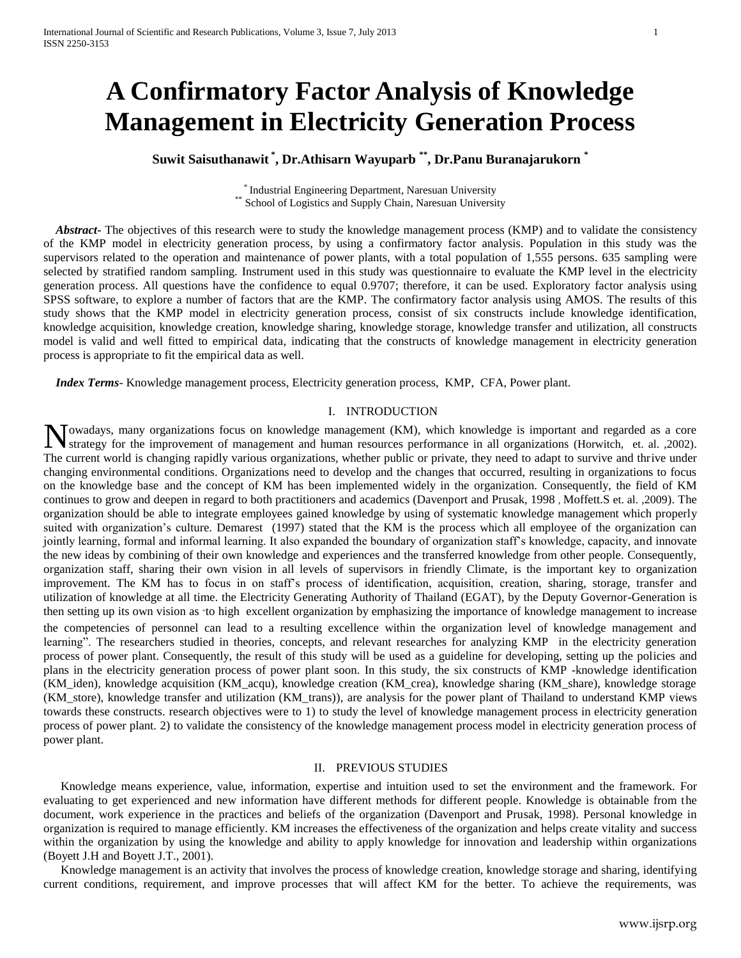# **A Confirmatory Factor Analysis of Knowledge Management in Electricity Generation Process**

## **Suwit Saisuthanawit \* , Dr.Athisarn Wayuparb \*\* , Dr.Panu Buranajarukorn \***

\* Industrial Engineering Department, Naresuan University \*\* School of Logistics and Supply Chain, Naresuan University

 *Abstract***-** The objectives of this research were to study the knowledge management process (KMP) and to validate the consistency of the KMP model in electricity generation process, by using a confirmatory factor analysis. Population in this study was the supervisors related to the operation and maintenance of power plants, with a total population of 1,555 persons. 635 sampling were selected by stratified random sampling. Instrument used in this study was questionnaire to evaluate the KMP level in the electricity generation process. All questions have the confidence to equal 0.9707; therefore, it can be used. Exploratory factor analysis using SPSS software, to explore a number of factors that are the KMP. The confirmatory factor analysis using AMOS. The results of this study shows that the KMP model in electricity generation process, consist of six constructs include knowledge identification, knowledge acquisition, knowledge creation, knowledge sharing, knowledge storage, knowledge transfer and utilization, all constructs model is valid and well fitted to empirical data, indicating that the constructs of knowledge management in electricity generation process is appropriate to fit the empirical data as well.

 *Index Terms*- Knowledge management process, Electricity generation process, KMP, CFA, Power plant.

#### I. INTRODUCTION

**N**owadays, many organizations focus on knowledge management (KM), which knowledge is important and regarded as a core strategy for the improvement of management and human resources performance in all organizations (Horwit strategy for the improvement of management and human resources performance in all organizations (Horwitch, et. al. ,2002). The current world is changing rapidly various organizations, whether public or private, they need to adapt to survive and thrive under changing environmental conditions. Organizations need to develop and the changes that occurred, resulting in organizations to focus on the knowledge base and the concept of KM has been implemented widely in the organization. Consequently, the field of KM continues to grow and deepen in regard to both practitioners and academics (Davenport and Prusak, 1998 , Moffett.S et. al. ,2009). The organization should be able to integrate employees gained knowledge by using of systematic knowledge management which properly suited with organization's culture. Demarest (1997) stated that the KM is the process which all employee of the organization can jointly learning, formal and informal learning. It also expanded the boundary of organization staff"s knowledge, capacity, and innovate the new ideas by combining of their own knowledge and experiences and the transferred knowledge from other people. Consequently, organization staff, sharing their own vision in all levels of supervisors in friendly Climate, is the important key to organization improvement. The KM has to focus in on staff"s process of identification, acquisition, creation, sharing, storage, transfer and utilization of knowledge at all time. the Electricity Generating Authority of Thailand (EGAT), by the Deputy Governor-Generation is then setting up its own vision as "to high excellent organization by emphasizing the importance of knowledge management to increase the competencies of personnel can lead to a resulting excellence within the organization level of knowledge management and learning". The researchers studied in theories, concepts, and relevant researches for analyzing KMP in the electricity generation process of power plant. Consequently, the result of this study will be used as a guideline for developing, setting up the policies and plans in the electricity generation process of power plant soon. In this study, the six constructs of KMP -knowledge identification (KM\_iden), knowledge acquisition (KM\_acqu), knowledge creation (KM\_crea), knowledge sharing (KM\_share), knowledge storage (KM\_store), knowledge transfer and utilization (KM\_trans)), are analysis for the power plant of Thailand to understand KMP views towards these constructs. research objectives were to 1) to study the level of knowledge management process in electricity generation process of power plant. 2) to validate the consistency of the knowledge management process model in electricity generation process of power plant.

#### II. PREVIOUS STUDIES

Knowledge means experience, value, information, expertise and intuition used to set the environment and the framework. For evaluating to get experienced and new information have different methods for different people. Knowledge is obtainable from the document, work experience in the practices and beliefs of the organization (Davenport and Prusak, 1998). Personal knowledge in organization is required to manage efficiently. KM increases the effectiveness of the organization and helps create vitality and success within the organization by using the knowledge and ability to apply knowledge for innovation and leadership within organizations (Boyett J.H and Boyett J.T., 2001).

Knowledge management is an activity that involves the process of knowledge creation, knowledge storage and sharing, identifying current conditions, requirement, and improve processes that will affect KM for the better. To achieve the requirements, was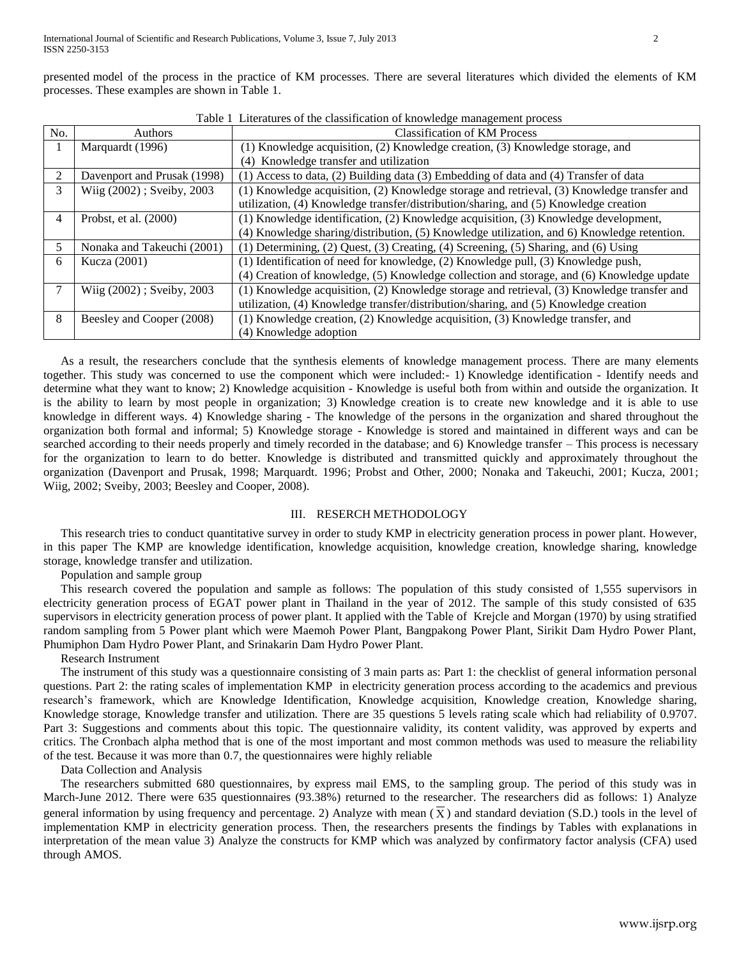presented model of the process in the practice of KM processes. There are several literatures which divided the elements of KM processes. These examples are shown in Table 1.

| No. | Authors                     | <b>Classification of KM Process</b>                                                        |  |  |
|-----|-----------------------------|--------------------------------------------------------------------------------------------|--|--|
| 1   | Marquardt (1996)            | (1) Knowledge acquisition, (2) Knowledge creation, (3) Knowledge storage, and              |  |  |
|     |                             | (4) Knowledge transfer and utilization                                                     |  |  |
| 2   | Davenport and Prusak (1998) | (1) Access to data, (2) Building data (3) Embedding of data and (4) Transfer of data       |  |  |
| 3   | Wiig (2002); Sveiby, 2003   | (1) Knowledge acquisition, (2) Knowledge storage and retrieval, (3) Knowledge transfer and |  |  |
|     |                             | utilization, (4) Knowledge transfer/distribution/sharing, and (5) Knowledge creation       |  |  |
| 4   | Probst, et al. (2000)       | (1) Knowledge identification, (2) Knowledge acquisition, (3) Knowledge development,        |  |  |
|     |                             | (4) Knowledge sharing/distribution, (5) Knowledge utilization, and 6) Knowledge retention. |  |  |
| 5.  | Nonaka and Takeuchi (2001)  | (1) Determining, (2) Quest, (3) Creating, (4) Screening, (5) Sharing, and (6) Using        |  |  |
| 6   | Kucza (2001)                | (1) Identification of need for knowledge, (2) Knowledge pull, (3) Knowledge push,          |  |  |
|     |                             | (4) Creation of knowledge, (5) Knowledge collection and storage, and (6) Knowledge update  |  |  |
|     | Wiig (2002); Sveiby, 2003   | (1) Knowledge acquisition, (2) Knowledge storage and retrieval, (3) Knowledge transfer and |  |  |
|     |                             | utilization, (4) Knowledge transfer/distribution/sharing, and (5) Knowledge creation       |  |  |
| 8   | Beesley and Cooper (2008)   | (1) Knowledge creation, (2) Knowledge acquisition, (3) Knowledge transfer, and             |  |  |
|     |                             | (4) Knowledge adoption                                                                     |  |  |

Table 1 Literatures of the classification of knowledge management process

As a result, the researchers conclude that the synthesis elements of knowledge management process. There are many elements together. This study was concerned to use the component which were included:- 1) Knowledge identification - Identify needs and determine what they want to know; 2) Knowledge acquisition - Knowledge is useful both from within and outside the organization. It is the ability to learn by most people in organization; 3) Knowledge creation is to create new knowledge and it is able to use knowledge in different ways. 4) Knowledge sharing - The knowledge of the persons in the organization and shared throughout the organization both formal and informal; 5) Knowledge storage - Knowledge is stored and maintained in different ways and can be searched according to their needs properly and timely recorded in the database; and 6) Knowledge transfer – This process is necessary for the organization to learn to do better. Knowledge is distributed and transmitted quickly and approximately throughout the organization (Davenport and Prusak, 1998; Marquardt. 1996; Probst and Other, 2000; Nonaka and Takeuchi, 2001; Kucza, 2001; Wiig, 2002; Sveiby, 2003; Beesley and Cooper, 2008).

## III. RESERCH METHODOLOGY

This research tries to conduct quantitative survey in order to study KMP in electricity generation process in power plant. However, in this paper The KMP are knowledge identification, knowledge acquisition, knowledge creation, knowledge sharing, knowledge storage, knowledge transfer and utilization.

Population and sample group

This research covered the population and sample as follows: The population of this study consisted of 1,555 supervisors in electricity generation process of EGAT power plant in Thailand in the year of 2012. The sample of this study consisted of 635 supervisors in electricity generation process of power plant. It applied with the Table of Krejcle and Morgan (1970) by using stratified random sampling from 5 Power plant which were Maemoh Power Plant, Bangpakong Power Plant, Sirikit Dam Hydro Power Plant, Phumiphon Dam Hydro Power Plant, and Srinakarin Dam Hydro Power Plant.

Research Instrument

The instrument of this study was a questionnaire consisting of 3 main parts as: Part 1: the checklist of general information personal questions. Part 2: the rating scales of implementation KMP in electricity generation process according to the academics and previous research"s framework, which are Knowledge Identification, Knowledge acquisition, Knowledge creation, Knowledge sharing, Knowledge storage, Knowledge transfer and utilization. There are 35 questions 5 levels rating scale which had reliability of 0.9707. Part 3: Suggestions and comments about this topic. The questionnaire validity, its content validity, was approved by experts and critics. The Cronbach alpha method that is one of the most important and most common methods was used to measure the reliability of the test. Because it was more than 0.7, the questionnaires were highly reliable

Data Collection and Analysis

The researchers submitted 680 questionnaires, by express mail EMS, to the sampling group. The period of this study was in March-June 2012. There were 635 questionnaires (93.38%) returned to the researcher. The researchers did as follows: 1) Analyze general information by using frequency and percentage. 2) Analyze with mean  $(\overline{X})$  and standard deviation (S.D.) tools in the level of implementation KMP in electricity generation process. Then, the researchers presents the findings by Tables with explanations in interpretation of the mean value 3) Analyze the constructs for KMP which was analyzed by confirmatory factor analysis (CFA) used through AMOS.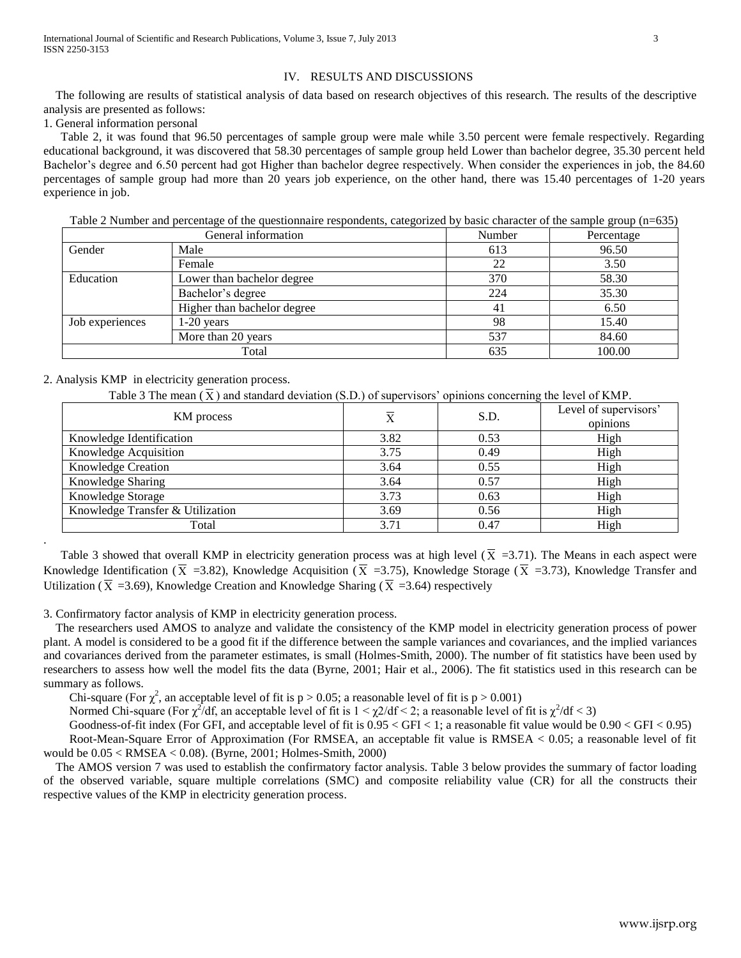The following are results of statistical analysis of data based on research objectives of this research. The results of the descriptive analysis are presented as follows:

1. General information personal

Table 2, it was found that 96.50 percentages of sample group were male while 3.50 percent were female respectively. Regarding educational background, it was discovered that 58.30 percentages of sample group held Lower than bachelor degree, 35.30 percent held Bachelor"s degree and 6.50 percent had got Higher than bachelor degree respectively. When consider the experiences in job, the 84.60 percentages of sample group had more than 20 years job experience, on the other hand, there was 15.40 percentages of 1-20 years experience in job.

Table 2 Number and percentage of the questionnaire respondents, categorized by basic character of the sample group (n=635)

|                 | General information         | Number | Percentage |
|-----------------|-----------------------------|--------|------------|
| Gender          | Male                        | 613    | 96.50      |
|                 | Female                      | 22     | 3.50       |
| Education       | Lower than bachelor degree  | 370    | 58.30      |
|                 | Bachelor's degree           | 224    | 35.30      |
|                 | Higher than bachelor degree | 41     | 6.50       |
| Job experiences | $1-20$ years                | 98     | 15.40      |
|                 | More than 20 years          | 537    | 84.60      |
|                 | Total                       | 635    | 100.00     |

## 2. Analysis KMP in electricity generation process.

.

Table 3 The mean  $(\overline{X})$  and standard deviation (S.D.) of supervisors' opinions concerning the level of KMP.

| KM process                       | $\overline{\text{X}}$ | S.D. | Level of supervisors'<br>opinions |
|----------------------------------|-----------------------|------|-----------------------------------|
| Knowledge Identification         | 3.82                  | 0.53 | High                              |
| Knowledge Acquisition            | 3.75                  | 0.49 | High                              |
| <b>Knowledge Creation</b>        | 3.64                  | 0.55 | High                              |
| Knowledge Sharing                | 3.64                  | 0.57 | High                              |
| Knowledge Storage                | 3.73                  | 0.63 | High                              |
| Knowledge Transfer & Utilization | 3.69                  | 0.56 | High                              |
| Total                            | 3.71                  | 0.47 | High                              |

Table 3 showed that overall KMP in electricity generation process was at high level  $(\overline{X} = 3.71)$ . The Means in each aspect were Knowledge Identification ( $\overline{X}$  =3.82), Knowledge Acquisition ( $\overline{X}$  =3.75), Knowledge Storage ( $\overline{X}$  =3.73), Knowledge Transfer and Utilization ( $\overline{X}$  =3.69), Knowledge Creation and Knowledge Sharing ( $\overline{X}$  =3.64) respectively

3. Confirmatory factor analysis of KMP in electricity generation process.

 The researchers used AMOS to analyze and validate the consistency of the KMP model in electricity generation process of power plant. A model is considered to be a good fit if the difference between the sample variances and covariances, and the implied variances and covariances derived from the parameter estimates, is small (Holmes-Smith, 2000). The number of fit statistics have been used by researchers to assess how well the model fits the data (Byrne, 2001; Hair et al., 2006). The fit statistics used in this research can be summary as follows.

Chi-square (For  $\chi^2$ , an acceptable level of fit is p > 0.05; a reasonable level of fit is p > 0.001)

Normed Chi-square (For  $\chi^2/df$ , an acceptable level of fit is  $1 < \chi^2/df < 2$ ; a reasonable level of fit is  $\chi^2/df < 3$ )

Goodness-of-fit index (For GFI, and acceptable level of fit is 0.95 < GFI < 1; a reasonable fit value would be 0.90 < GFI < 0.95)

Root-Mean-Square Error of Approximation (For RMSEA, an acceptable fit value is RMSEA < 0.05; a reasonable level of fit would be 0.05 < RMSEA < 0.08). (Byrne, 2001; Holmes-Smith, 2000)

 The AMOS version 7 was used to establish the confirmatory factor analysis. Table 3 below provides the summary of factor loading of the observed variable, square multiple correlations (SMC) and composite reliability value (CR) for all the constructs their respective values of the KMP in electricity generation process.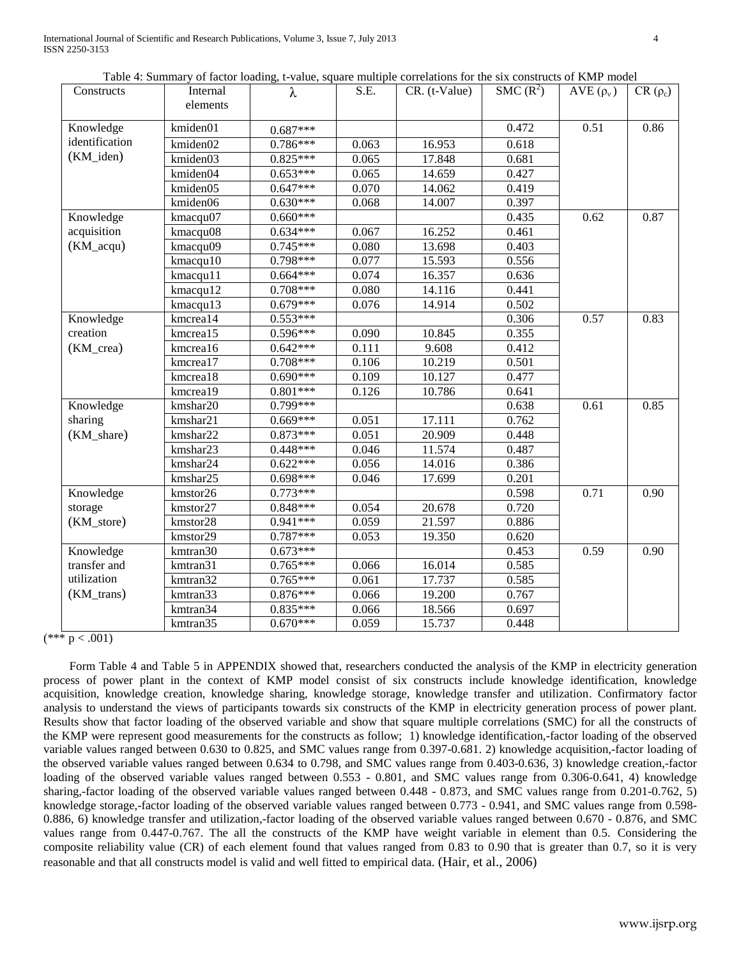International Journal of Scientific and Research Publications, Volume 3, Issue 7, July 2013 4 ISSN 2250-3153

| Table 4: Summary of factor loading, t-value, square multiple correlations for the six constructs of KMP model |  |  |
|---------------------------------------------------------------------------------------------------------------|--|--|
|                                                                                                               |  |  |

| Constructs     | Table 4. Building of factor foacing, it value, square manippe correlations for the six constructs of Kivit moder<br>Internal<br>elements | $\lambda$  | S.E.  | $CR.$ (t-Value) | SMC $(R^2)$ | AVE $(\rho_v)$ | $CR(\rho_c)$ |
|----------------|------------------------------------------------------------------------------------------------------------------------------------------|------------|-------|-----------------|-------------|----------------|--------------|
| Knowledge      | kmiden01                                                                                                                                 | $0.687***$ |       |                 | 0.472       | 0.51           | 0.86         |
| identification | kmiden02                                                                                                                                 | 0.786***   | 0.063 | 16.953          | 0.618       |                |              |
| (KM_iden)      | kmiden03                                                                                                                                 | $0.825***$ | 0.065 | 17.848          | 0.681       |                |              |
|                | kmiden04                                                                                                                                 | $0.653***$ | 0.065 | 14.659          | 0.427       |                |              |
|                | kmiden05                                                                                                                                 | $0.647***$ | 0.070 | 14.062          | 0.419       |                |              |
|                | kmiden06                                                                                                                                 | $0.630***$ | 0.068 | 14.007          | 0.397       |                |              |
| Knowledge      | kmacqu07                                                                                                                                 | $0.660***$ |       |                 | 0.435       | 0.62           | 0.87         |
| acquisition    | kmacqu08                                                                                                                                 | $0.634***$ | 0.067 | 16.252          | 0.461       |                |              |
| (KM_acqu)      | kmacqu09                                                                                                                                 | $0.745***$ | 0.080 | 13.698          | 0.403       |                |              |
|                | kmacqu10                                                                                                                                 | $0.798***$ | 0.077 | 15.593          | 0.556       |                |              |
|                | kmacqu11                                                                                                                                 | $0.664***$ | 0.074 | 16.357          | 0.636       |                |              |
|                | kmacqu12                                                                                                                                 | $0.708***$ | 0.080 | 14.116          | 0.441       |                |              |
|                | kmacqu13                                                                                                                                 | $0.679***$ | 0.076 | 14.914          | 0.502       |                |              |
| Knowledge      | kmcrea14                                                                                                                                 | $0.553***$ |       |                 | 0.306       | 0.57           | 0.83         |
| creation       | kmcrea15                                                                                                                                 | $0.596***$ | 0.090 | 10.845          | 0.355       |                |              |
| (KM_crea)      | kmcrea16                                                                                                                                 | $0.642***$ | 0.111 | 9.608           | 0.412       |                |              |
|                | kmcrea17                                                                                                                                 | $0.708***$ | 0.106 | 10.219          | 0.501       |                |              |
|                | kmcrea18                                                                                                                                 | $0.690***$ | 0.109 | 10.127          | 0.477       |                |              |
|                | kmcrea19                                                                                                                                 | $0.801***$ | 0.126 | 10.786          | 0.641       |                |              |
| Knowledge      | kmshar20                                                                                                                                 | $0.799***$ |       |                 | 0.638       | 0.61           | 0.85         |
| sharing        | kmshar21                                                                                                                                 | $0.669***$ | 0.051 | 17.111          | 0.762       |                |              |
| (KM_share)     | kmshar22                                                                                                                                 | $0.873***$ | 0.051 | 20.909          | 0.448       |                |              |
|                | kmshar23                                                                                                                                 | $0.448***$ | 0.046 | 11.574          | 0.487       |                |              |
|                | kmshar24                                                                                                                                 | $0.622***$ | 0.056 | 14.016          | 0.386       |                |              |
|                | kmshar25                                                                                                                                 | $0.698***$ | 0.046 | 17.699          | 0.201       |                |              |
| Knowledge      | kmstor26                                                                                                                                 | $0.773***$ |       |                 | 0.598       | 0.71           | 0.90         |
| storage        | kmstor27                                                                                                                                 | $0.848***$ | 0.054 | 20.678          | 0.720       |                |              |
| (KM_store)     | kmstor28                                                                                                                                 | $0.941***$ | 0.059 | 21.597          | 0.886       |                |              |
|                | kmstor29                                                                                                                                 | $0.787***$ | 0.053 | 19.350          | 0.620       |                |              |
| Knowledge      | kmtran30                                                                                                                                 | $0.673***$ |       |                 | 0.453       | 0.59           | 0.90         |
| transfer and   | kmtran31                                                                                                                                 | $0.765***$ | 0.066 | 16.014          | 0.585       |                |              |
| utilization    | kmtran32                                                                                                                                 | $0.765***$ | 0.061 | 17.737          | 0.585       |                |              |
| (KM_trans)     | kmtran33                                                                                                                                 | $0.876***$ | 0.066 | 19.200          | 0.767       |                |              |
|                | kmtran34                                                                                                                                 | $0.835***$ | 0.066 | 18.566          | 0.697       |                |              |
|                | kmtran35                                                                                                                                 | $0.670***$ | 0.059 | 15.737          | 0.448       |                |              |

 $(*** p < .001)$ 

Form Table 4 and Table 5 in APPENDIX showed that, researchers conducted the analysis of the KMP in electricity generation process of power plant in the context of KMP model consist of six constructs include knowledge identification, knowledge acquisition, knowledge creation, knowledge sharing, knowledge storage, knowledge transfer and utilization. Confirmatory factor analysis to understand the views of participants towards six constructs of the KMP in electricity generation process of power plant. Results show that factor loading of the observed variable and show that square multiple correlations (SMC) for all the constructs of the KMP were represent good measurements for the constructs as follow; 1) knowledge identification,-factor loading of the observed variable values ranged between 0.630 to 0.825, and SMC values range from 0.397-0.681. 2) knowledge acquisition,-factor loading of the observed variable values ranged between 0.634 to 0.798, and SMC values range from 0.403-0.636, 3) knowledge creation,-factor loading of the observed variable values ranged between 0.553 - 0.801, and SMC values range from 0.306-0.641, 4) knowledge sharing,-factor loading of the observed variable values ranged between 0.448 - 0.873, and SMC values range from 0.201-0.762, 5) knowledge storage,-factor loading of the observed variable values ranged between 0.773 - 0.941, and SMC values range from 0.598- 0.886, 6) knowledge transfer and utilization,-factor loading of the observed variable values ranged between 0.670 - 0.876, and SMC values range from 0.447-0.767. The all the constructs of the KMP have weight variable in element than 0.5. Considering the composite reliability value (CR) of each element found that values ranged from 0.83 to 0.90 that is greater than 0.7, so it is very reasonable and that all constructs model is valid and well fitted to empirical data. (Hair, et al., 2006)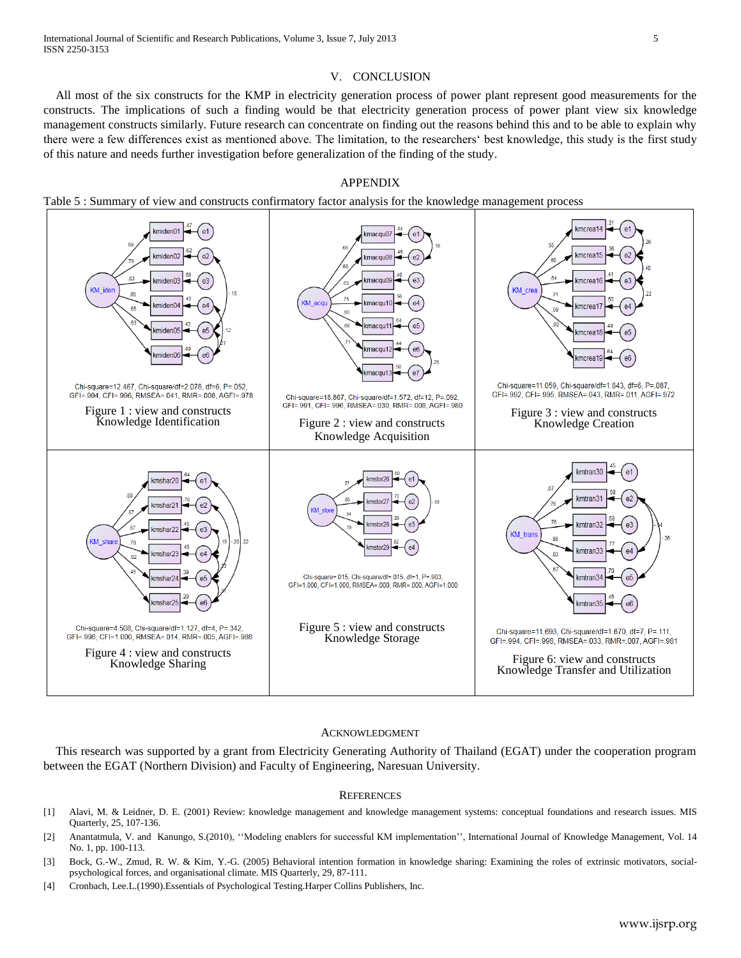## V. CONCLUSION

All most of the six constructs for the KMP in electricity generation process of power plant represent good measurements for the constructs. The implications of such a finding would be that electricity generation process of power plant view six knowledge management constructs similarly. Future research can concentrate on finding out the reasons behind this and to be able to explain why there were a few differences exist as mentioned above. The limitation, to the researchers" best knowledge, this study is the first study of this nature and needs further investigation before generalization of the finding of the study.

## APPENDIX

Table 5 : Summary of view and constructs confirmatory factor analysis for the knowledge management process



#### ACKNOWLEDGMENT

This research was supported by a grant from Electricity Generating Authority of Thailand (EGAT) under the cooperation program between the EGAT (Northern Division) and Faculty of Engineering, Naresuan University.

#### **REFERENCES**

- [1] Alavi, M. & Leidner, D. E. (2001) Review: knowledge management and knowledge management systems: conceptual foundations and research issues. MIS Quarterly, 25, 107-136.
- [2] Anantatmula, V. and Kanungo, S.(2010), "Modeling enablers for successful KM implementation", International Journal of Knowledge Management, Vol. 14 No. 1, pp. 100-113.
- [3] Bock, G.-W., Zmud, R. W. & Kim, Y.-G. (2005) Behavioral intention formation in knowledge sharing: Examining the roles of extrinsic motivators, socialpsychological forces, and organisational climate. MIS Quarterly, 29, 87-111.
- [4] Cronbach, Lee.L.(1990).Essentials of Psychological Testing.Harper Collins Publishers, Inc.